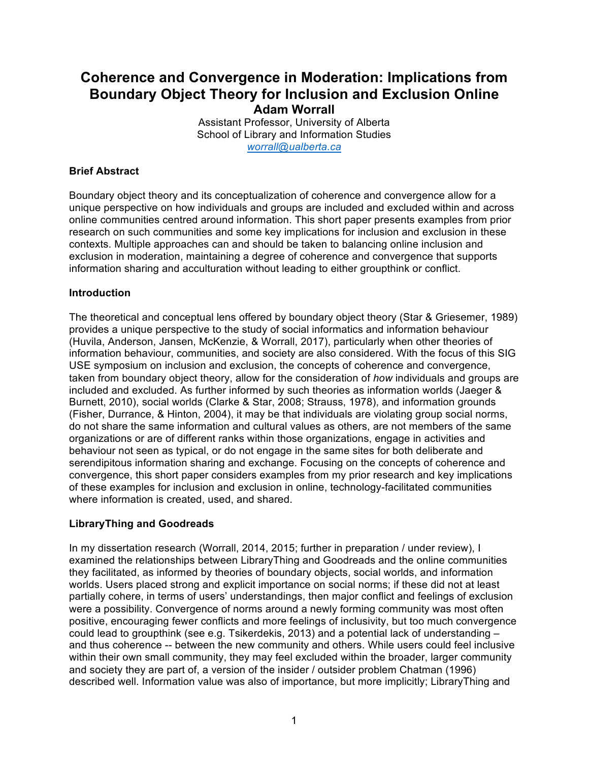# **Coherence and Convergence in Moderation: Implications from Boundary Object Theory for Inclusion and Exclusion Online Adam Worrall**

Assistant Professor, University of Alberta School of Library and Information Studies *worrall@ualberta.ca*

# **Brief Abstract**

Boundary object theory and its conceptualization of coherence and convergence allow for a unique perspective on how individuals and groups are included and excluded within and across online communities centred around information. This short paper presents examples from prior research on such communities and some key implications for inclusion and exclusion in these contexts. Multiple approaches can and should be taken to balancing online inclusion and exclusion in moderation, maintaining a degree of coherence and convergence that supports information sharing and acculturation without leading to either groupthink or conflict.

## **Introduction**

The theoretical and conceptual lens offered by boundary object theory (Star & Griesemer, 1989) provides a unique perspective to the study of social informatics and information behaviour (Huvila, Anderson, Jansen, McKenzie, & Worrall, 2017), particularly when other theories of information behaviour, communities, and society are also considered. With the focus of this SIG USE symposium on inclusion and exclusion, the concepts of coherence and convergence, taken from boundary object theory, allow for the consideration of *how* individuals and groups are included and excluded. As further informed by such theories as information worlds (Jaeger & Burnett, 2010), social worlds (Clarke & Star, 2008; Strauss, 1978), and information grounds (Fisher, Durrance, & Hinton, 2004), it may be that individuals are violating group social norms, do not share the same information and cultural values as others, are not members of the same organizations or are of different ranks within those organizations, engage in activities and behaviour not seen as typical, or do not engage in the same sites for both deliberate and serendipitous information sharing and exchange. Focusing on the concepts of coherence and convergence, this short paper considers examples from my prior research and key implications of these examples for inclusion and exclusion in online, technology-facilitated communities where information is created, used, and shared.

# **LibraryThing and Goodreads**

In my dissertation research (Worrall, 2014, 2015; further in preparation / under review), I examined the relationships between LibraryThing and Goodreads and the online communities they facilitated, as informed by theories of boundary objects, social worlds, and information worlds. Users placed strong and explicit importance on social norms; if these did not at least partially cohere, in terms of users' understandings, then major conflict and feelings of exclusion were a possibility. Convergence of norms around a newly forming community was most often positive, encouraging fewer conflicts and more feelings of inclusivity, but too much convergence could lead to groupthink (see e.g. Tsikerdekis, 2013) and a potential lack of understanding – and thus coherence -- between the new community and others. While users could feel inclusive within their own small community, they may feel excluded within the broader, larger community and society they are part of, a version of the insider / outsider problem Chatman (1996) described well. Information value was also of importance, but more implicitly; LibraryThing and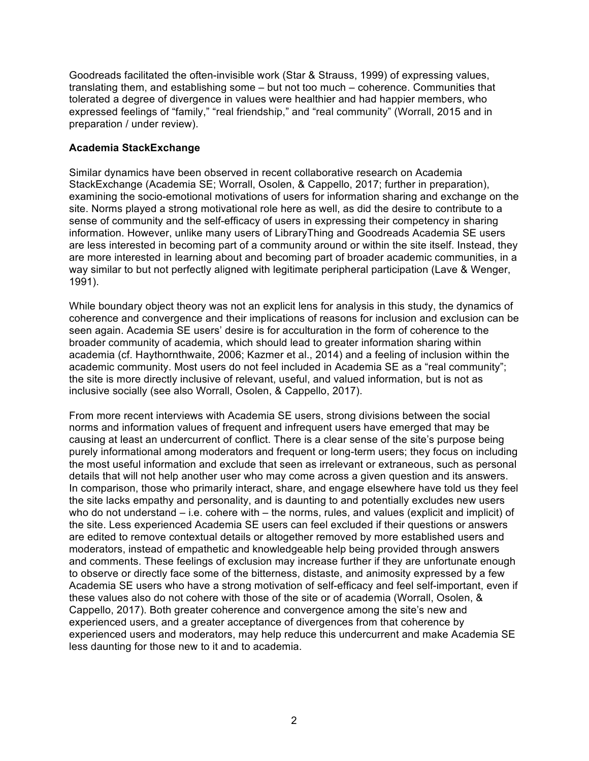Goodreads facilitated the often-invisible work (Star & Strauss, 1999) of expressing values, translating them, and establishing some – but not too much – coherence. Communities that tolerated a degree of divergence in values were healthier and had happier members, who expressed feelings of "family," "real friendship," and "real community" (Worrall, 2015 and in preparation / under review).

## **Academia StackExchange**

Similar dynamics have been observed in recent collaborative research on Academia StackExchange (Academia SE; Worrall, Osolen, & Cappello, 2017; further in preparation), examining the socio-emotional motivations of users for information sharing and exchange on the site. Norms played a strong motivational role here as well, as did the desire to contribute to a sense of community and the self-efficacy of users in expressing their competency in sharing information. However, unlike many users of LibraryThing and Goodreads Academia SE users are less interested in becoming part of a community around or within the site itself. Instead, they are more interested in learning about and becoming part of broader academic communities, in a way similar to but not perfectly aligned with legitimate peripheral participation (Lave & Wenger, 1991).

While boundary object theory was not an explicit lens for analysis in this study, the dynamics of coherence and convergence and their implications of reasons for inclusion and exclusion can be seen again. Academia SE users' desire is for acculturation in the form of coherence to the broader community of academia, which should lead to greater information sharing within academia (cf. Haythornthwaite, 2006; Kazmer et al., 2014) and a feeling of inclusion within the academic community. Most users do not feel included in Academia SE as a "real community"; the site is more directly inclusive of relevant, useful, and valued information, but is not as inclusive socially (see also Worrall, Osolen, & Cappello, 2017).

From more recent interviews with Academia SE users, strong divisions between the social norms and information values of frequent and infrequent users have emerged that may be causing at least an undercurrent of conflict. There is a clear sense of the site's purpose being purely informational among moderators and frequent or long-term users; they focus on including the most useful information and exclude that seen as irrelevant or extraneous, such as personal details that will not help another user who may come across a given question and its answers. In comparison, those who primarily interact, share, and engage elsewhere have told us they feel the site lacks empathy and personality, and is daunting to and potentially excludes new users who do not understand – i.e. cohere with – the norms, rules, and values (explicit and implicit) of the site. Less experienced Academia SE users can feel excluded if their questions or answers are edited to remove contextual details or altogether removed by more established users and moderators, instead of empathetic and knowledgeable help being provided through answers and comments. These feelings of exclusion may increase further if they are unfortunate enough to observe or directly face some of the bitterness, distaste, and animosity expressed by a few Academia SE users who have a strong motivation of self-efficacy and feel self-important, even if these values also do not cohere with those of the site or of academia (Worrall, Osolen, & Cappello, 2017). Both greater coherence and convergence among the site's new and experienced users, and a greater acceptance of divergences from that coherence by experienced users and moderators, may help reduce this undercurrent and make Academia SE less daunting for those new to it and to academia.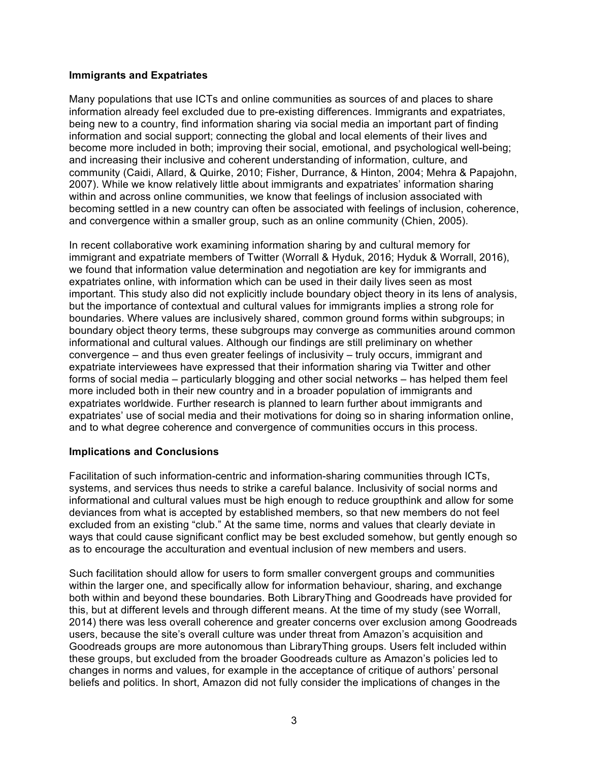# **Immigrants and Expatriates**

Many populations that use ICTs and online communities as sources of and places to share information already feel excluded due to pre-existing differences. Immigrants and expatriates, being new to a country, find information sharing via social media an important part of finding information and social support; connecting the global and local elements of their lives and become more included in both; improving their social, emotional, and psychological well-being; and increasing their inclusive and coherent understanding of information, culture, and community (Caidi, Allard, & Quirke, 2010; Fisher, Durrance, & Hinton, 2004; Mehra & Papajohn, 2007). While we know relatively little about immigrants and expatriates' information sharing within and across online communities, we know that feelings of inclusion associated with becoming settled in a new country can often be associated with feelings of inclusion, coherence, and convergence within a smaller group, such as an online community (Chien, 2005).

In recent collaborative work examining information sharing by and cultural memory for immigrant and expatriate members of Twitter (Worrall & Hyduk, 2016; Hyduk & Worrall, 2016), we found that information value determination and negotiation are key for immigrants and expatriates online, with information which can be used in their daily lives seen as most important. This study also did not explicitly include boundary object theory in its lens of analysis, but the importance of contextual and cultural values for immigrants implies a strong role for boundaries. Where values are inclusively shared, common ground forms within subgroups; in boundary object theory terms, these subgroups may converge as communities around common informational and cultural values. Although our findings are still preliminary on whether convergence – and thus even greater feelings of inclusivity – truly occurs, immigrant and expatriate interviewees have expressed that their information sharing via Twitter and other forms of social media – particularly blogging and other social networks – has helped them feel more included both in their new country and in a broader population of immigrants and expatriates worldwide. Further research is planned to learn further about immigrants and expatriates' use of social media and their motivations for doing so in sharing information online, and to what degree coherence and convergence of communities occurs in this process.

#### **Implications and Conclusions**

Facilitation of such information-centric and information-sharing communities through ICTs, systems, and services thus needs to strike a careful balance. Inclusivity of social norms and informational and cultural values must be high enough to reduce groupthink and allow for some deviances from what is accepted by established members, so that new members do not feel excluded from an existing "club." At the same time, norms and values that clearly deviate in ways that could cause significant conflict may be best excluded somehow, but gently enough so as to encourage the acculturation and eventual inclusion of new members and users.

Such facilitation should allow for users to form smaller convergent groups and communities within the larger one, and specifically allow for information behaviour, sharing, and exchange both within and beyond these boundaries. Both LibraryThing and Goodreads have provided for this, but at different levels and through different means. At the time of my study (see Worrall, 2014) there was less overall coherence and greater concerns over exclusion among Goodreads users, because the site's overall culture was under threat from Amazon's acquisition and Goodreads groups are more autonomous than LibraryThing groups. Users felt included within these groups, but excluded from the broader Goodreads culture as Amazon's policies led to changes in norms and values, for example in the acceptance of critique of authors' personal beliefs and politics. In short, Amazon did not fully consider the implications of changes in the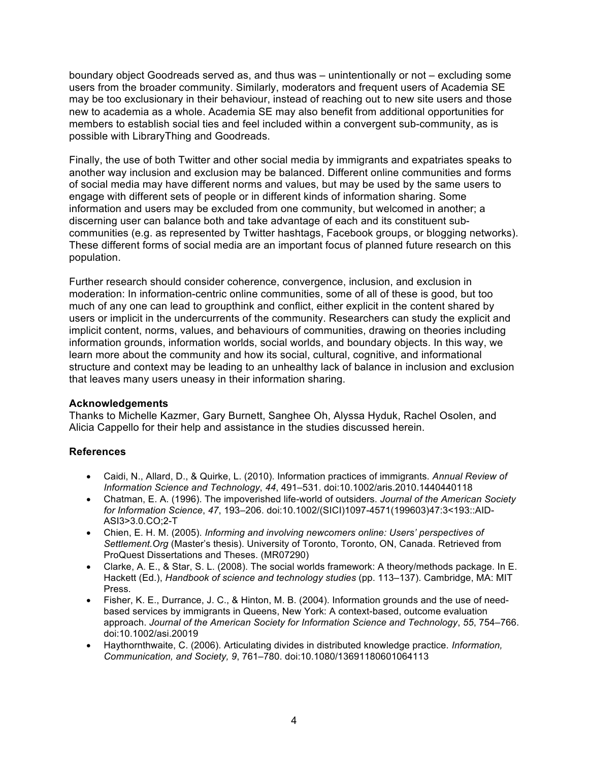boundary object Goodreads served as, and thus was – unintentionally or not – excluding some users from the broader community. Similarly, moderators and frequent users of Academia SE may be too exclusionary in their behaviour, instead of reaching out to new site users and those new to academia as a whole. Academia SE may also benefit from additional opportunities for members to establish social ties and feel included within a convergent sub-community, as is possible with LibraryThing and Goodreads.

Finally, the use of both Twitter and other social media by immigrants and expatriates speaks to another way inclusion and exclusion may be balanced. Different online communities and forms of social media may have different norms and values, but may be used by the same users to engage with different sets of people or in different kinds of information sharing. Some information and users may be excluded from one community, but welcomed in another; a discerning user can balance both and take advantage of each and its constituent subcommunities (e.g. as represented by Twitter hashtags, Facebook groups, or blogging networks). These different forms of social media are an important focus of planned future research on this population.

Further research should consider coherence, convergence, inclusion, and exclusion in moderation: In information-centric online communities, some of all of these is good, but too much of any one can lead to groupthink and conflict, either explicit in the content shared by users or implicit in the undercurrents of the community. Researchers can study the explicit and implicit content, norms, values, and behaviours of communities, drawing on theories including information grounds, information worlds, social worlds, and boundary objects. In this way, we learn more about the community and how its social, cultural, cognitive, and informational structure and context may be leading to an unhealthy lack of balance in inclusion and exclusion that leaves many users uneasy in their information sharing.

#### **Acknowledgements**

Thanks to Michelle Kazmer, Gary Burnett, Sanghee Oh, Alyssa Hyduk, Rachel Osolen, and Alicia Cappello for their help and assistance in the studies discussed herein.

# **References**

- Caidi, N., Allard, D., & Quirke, L. (2010). Information practices of immigrants. *Annual Review of Information Science and Technology*, *44*, 491–531. doi:10.1002/aris.2010.1440440118
- Chatman, E. A. (1996). The impoverished life-world of outsiders. *Journal of the American Society for Information Science*, *47*, 193–206. doi:10.1002/(SICI)1097-4571(199603)47:3<193::AID-ASI3>3.0.CO;2-T
- Chien, E. H. M. (2005). *Informing and involving newcomers online: Users' perspectives of Settlement.Org* (Master's thesis). University of Toronto, Toronto, ON, Canada. Retrieved from ProQuest Dissertations and Theses. (MR07290)
- Clarke, A. E., & Star, S. L. (2008). The social worlds framework: A theory/methods package. In E. Hackett (Ed.), *Handbook of science and technology studies* (pp. 113–137). Cambridge, MA: MIT Press.
- Fisher, K. E., Durrance, J. C., & Hinton, M. B. (2004). Information grounds and the use of needbased services by immigrants in Queens, New York: A context-based, outcome evaluation approach. *Journal of the American Society for Information Science and Technology*, *55*, 754–766. doi:10.1002/asi.20019
- Haythornthwaite, C. (2006). Articulating divides in distributed knowledge practice. *Information, Communication, and Society, 9*, 761–780. doi:10.1080/13691180601064113